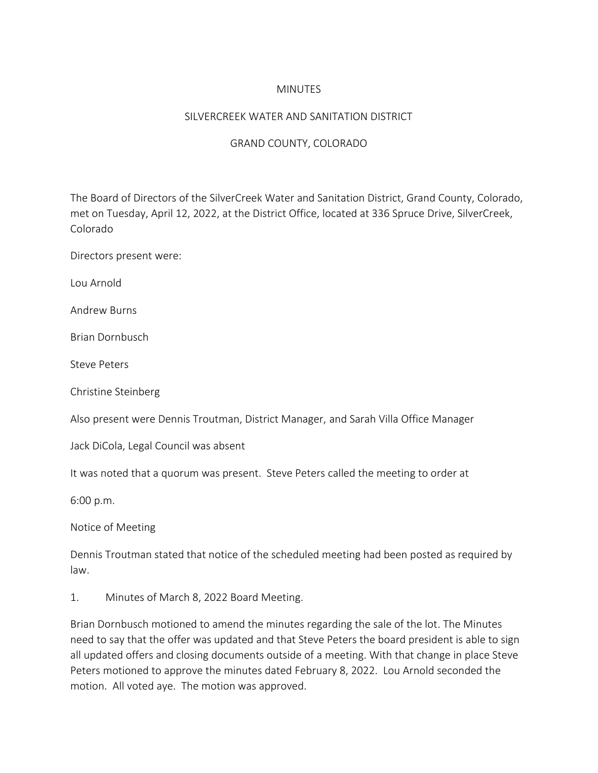### MINUTES

#### SILVERCREEK WATER AND SANITATION DISTRICT

### GRAND COUNTY, COLORADO

The Board of Directors of the SilverCreek Water and Sanitation District, Grand County, Colorado, met on Tuesday, April 12, 2022, at the District Office, located at 336 Spruce Drive, SilverCreek, Colorado

Directors present were:

Lou Arnold

Andrew Burns

Brian Dornbusch

Steve Peters

Christine Steinberg

Also present were Dennis Troutman, District Manager, and Sarah Villa Office Manager

Jack DiCola, Legal Council was absent

It was noted that a quorum was present. Steve Peters called the meeting to order at

6:00 p.m.

Notice of Meeting

Dennis Troutman stated that notice of the scheduled meeting had been posted as required by law.

1. Minutes of March 8, 2022 Board Meeting.

Brian Dornbusch motioned to amend the minutes regarding the sale of the lot. The Minutes need to say that the offer was updated and that Steve Peters the board president is able to sign all updated offers and closing documents outside of a meeting. With that change in place Steve Peters motioned to approve the minutes dated February 8, 2022. Lou Arnold seconded the motion. All voted aye. The motion was approved.